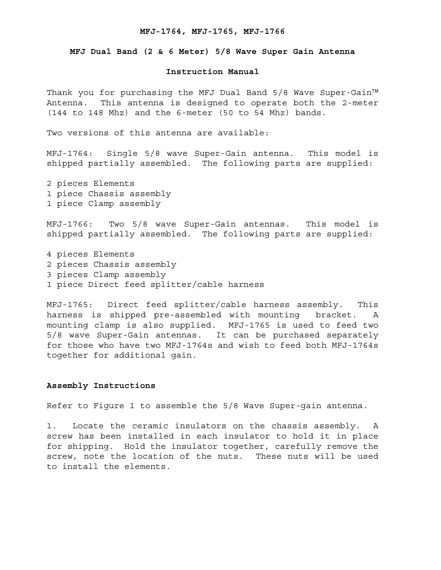#### **MFJ-1764, MFJ-1765, MFJ-1766**

### **MFJ Dual Band (2 & 6 Meter) 5/8 Wave Super Gain Antenna**

## **Instruction Manual**

Thank you for purchasing the MFJ Dual Band 5/8 Wave Super-Gain™ Antenna. This antenna is designed to operate both the 2-meter (144 to 148 Mhz) and the 6-meter (50 to 54 Mhz) bands.

Two versions of this antenna are available:

MFJ-1764: Single 5/8 wave Super-Gain antenna. This model is shipped partially assembled. The following parts are supplied:

2 pieces Elements 1 piece Chassis assembly 1 piece Clamp assembly

MFJ-1766: Two 5/8 wave Super-Gain antennas. This model is shipped partially assembled. The following parts are supplied:

4 pieces Elements 2 pieces Chassis assembly 3 pieces Clamp assembly 1 piece Direct feed splitter/cable harness

MFJ-1765: Direct feed splitter/cable harness assembly. This harness is shipped pre-assembled with mounting bracket. A mounting clamp is also supplied. MFJ-1765 is used to feed two 5/8 wave Super-Gain antennas. It can be purchased separately for those who have two MFJ-1764s and wish to feed both MFJ-1764s together for additional gain.

#### **Assembly Instructions**

Refer to Figure 1 to assemble the 5/8 Wave Super-gain antenna.

1. Locate the ceramic insulators on the chassis assembly. A screw has been installed in each insulator to hold it in place for shipping. Hold the insulator together, carefully remove the screw, note the location of the nuts. These nuts will be used to install the elements.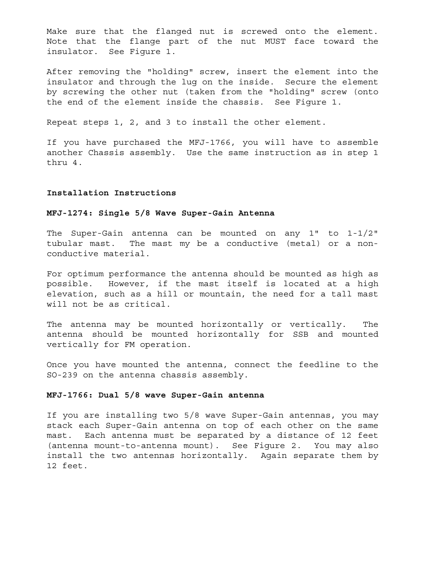Make sure that the flanged nut is screwed onto the element. Note that the flange part of the nut MUST face toward the insulator. See Figure 1.

After removing the "holding" screw, insert the element into the insulator and through the lug on the inside. Secure the element by screwing the other nut (taken from the "holding" screw (onto the end of the element inside the chassis. See Figure 1.

Repeat steps 1, 2, and 3 to install the other element.

If you have purchased the MFJ-1766, you will have to assemble another Chassis assembly. Use the same instruction as in step 1 thru 4.

## **Installation Instructions**

# **MFJ-1274: Single 5/8 Wave Super-Gain Antenna**

The Super-Gain antenna can be mounted on any 1" to 1-1/2" tubular mast. The mast my be a conductive (metal) or a nonconductive material.

For optimum performance the antenna should be mounted as high as possible. However, if the mast itself is located at a high elevation, such as a hill or mountain, the need for a tall mast will not be as critical.

The antenna may be mounted horizontally or vertically. The antenna should be mounted horizontally for SSB and mounted vertically for FM operation.

Once you have mounted the antenna, connect the feedline to the SO-239 on the antenna chassis assembly.

#### **MFJ-1766: Dual 5/8 wave Super-Gain antenna**

If you are installing two 5/8 wave Super-Gain antennas, you may stack each Super-Gain antenna on top of each other on the same mast. Each antenna must be separated by a distance of 12 feet (antenna mount-to-antenna mount). See Figure 2. You may also install the two antennas horizontally. Again separate them by 12 feet.